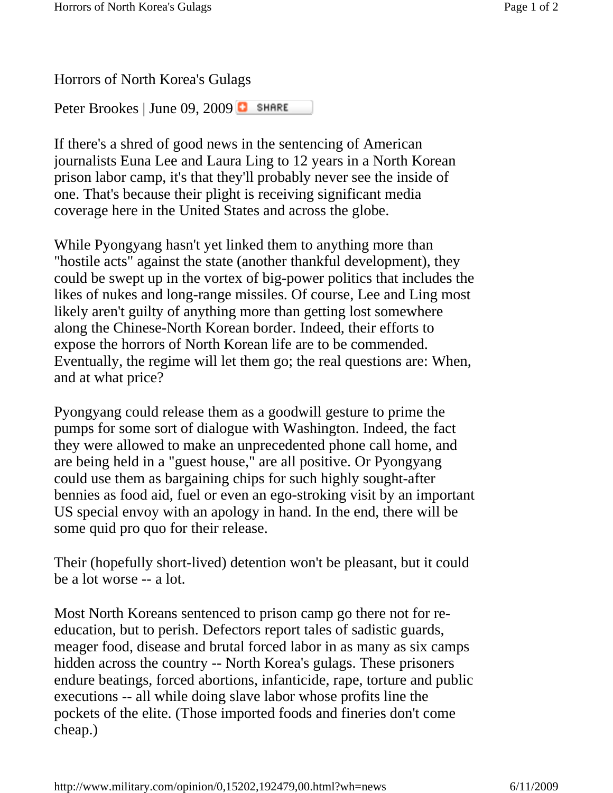Peter Brookes | June 09, 2009 **D** SHARE

If there's a shred of good news in the sentencing of American journalists Euna Lee and Laura Ling to 12 years in a North Korean prison labor camp, it's that they'll probably never see the inside of one. That's because their plight is receiving significant media coverage here in the United States and across the globe.

While Pyongyang hasn't yet linked them to anything more than "hostile acts" against the state (another thankful development), they could be swept up in the vortex of big-power politics that includes the likes of nukes and long-range missiles. Of course, Lee and Ling most likely aren't guilty of anything more than getting lost somewhere along the Chinese-North Korean border. Indeed, their efforts to expose the horrors of North Korean life are to be commended. Eventually, the regime will let them go; the real questions are: When, and at what price?

Pyongyang could release them as a goodwill gesture to prime the pumps for some sort of dialogue with Washington. Indeed, the fact they were allowed to make an unprecedented phone call home, and are being held in a "guest house," are all positive. Or Pyongyang could use them as bargaining chips for such highly sought-after bennies as food aid, fuel or even an ego-stroking visit by an important US special envoy with an apology in hand. In the end, there will be some quid pro quo for their release.

Their (hopefully short-lived) detention won't be pleasant, but it could be a lot worse -- a lot.

Most North Koreans sentenced to prison camp go there not for reeducation, but to perish. Defectors report tales of sadistic guards, meager food, disease and brutal forced labor in as many as six camps hidden across the country -- North Korea's gulags. These prisoners endure beatings, forced abortions, infanticide, rape, torture and public executions -- all while doing slave labor whose profits line the pockets of the elite. (Those imported foods and fineries don't come cheap.)